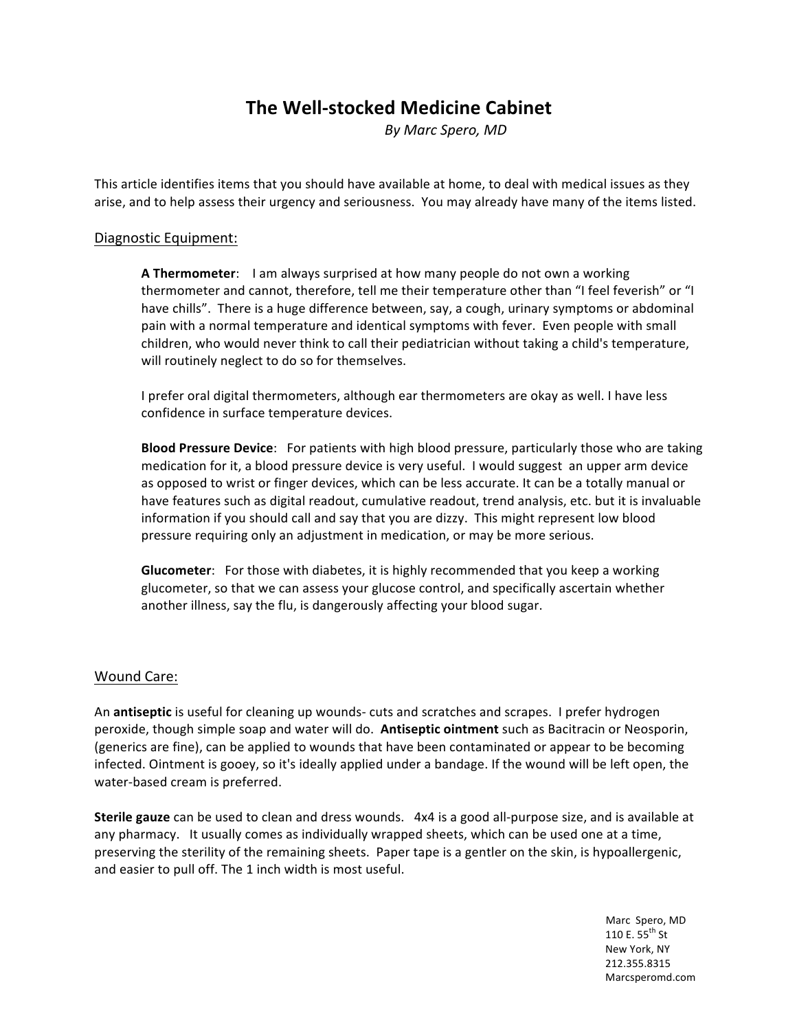## **The Well-stocked Medicine Cabinet**

*By#Marc#Spero,#MD*

This article identifies items that you should have available at home, to deal with medical issues as they arise, and to help assess their urgency and seriousness. You may already have many of the items listed.

## Diagnostic Equipment:

**A Thermometer:** I am always surprised at how many people do not own a working thermometer and cannot, therefore, tell me their temperature other than "I feel feverish" or "I have chills". There is a huge difference between, say, a cough, urinary symptoms or abdominal pain with a normal temperature and identical symptoms with fever. Even people with small children, who would never think to call their pediatrician without taking a child's temperature, will routinely neglect to do so for themselves.

I prefer oral digital thermometers, although ear thermometers are okay as well. I have less confidence in surface temperature devices.

**Blood Pressure Device**: For patients with high blood pressure, particularly those who are taking medication for it, a blood pressure device is very useful. I would suggest an upper arm device as opposed to wrist or finger devices, which can be less accurate. It can be a totally manual or have features such as digital readout, cumulative readout, trend analysis, etc. but it is invaluable information if you should call and say that you are dizzy. This might represent low blood pressure requiring only an adjustment in medication, or may be more serious.

**Glucometer**: For those with diabetes, it is highly recommended that you keep a working glucometer, so that we can assess your glucose control, and specifically ascertain whether another illness, say the flu, is dangerously affecting your blood sugar.

## Wound Care:

An **antiseptic** is useful for cleaning up wounds- cuts and scratches and scrapes. I prefer hydrogen peroxide, though simple soap and water will do. Antiseptic ointment such as Bacitracin or Neosporin, (generics are fine), can be applied to wounds that have been contaminated or appear to be becoming infected. Ointment is gooey, so it's ideally applied under a bandage. If the wound will be left open, the water-based cream is preferred.

**Sterile gauze** can be used to clean and dress wounds. 4x4 is a good all-purpose size, and is available at any pharmacy. It usually comes as individually wrapped sheets, which can be used one at a time, preserving the sterility of the remaining sheets. Paper tape is a gentler on the skin, is hypoallergenic, and easier to pull off. The 1 inch width is most useful.

Marc Spero, MD 110 E. 55<sup>th</sup> St New York, NY !!!!!!!!!!!!!!!!!!!!!!!!!!!!!!!!!!!!!!!!!!!!!!!!!!!!!!!!!!!!!!!!!!!!!!!!!!!!!!!!!!!!!!!!!!!!!!!!!!!!!!!!!!!!!!!!!!!!!!!!!!!!!!!!!!!!!!!!!!!!!!!!!!!!!!!!!!!!!!!!!!!!!!!!!!!!!!!!!!!!!!!!!!!!!!!!!212.355.8315 Marcsperomd.com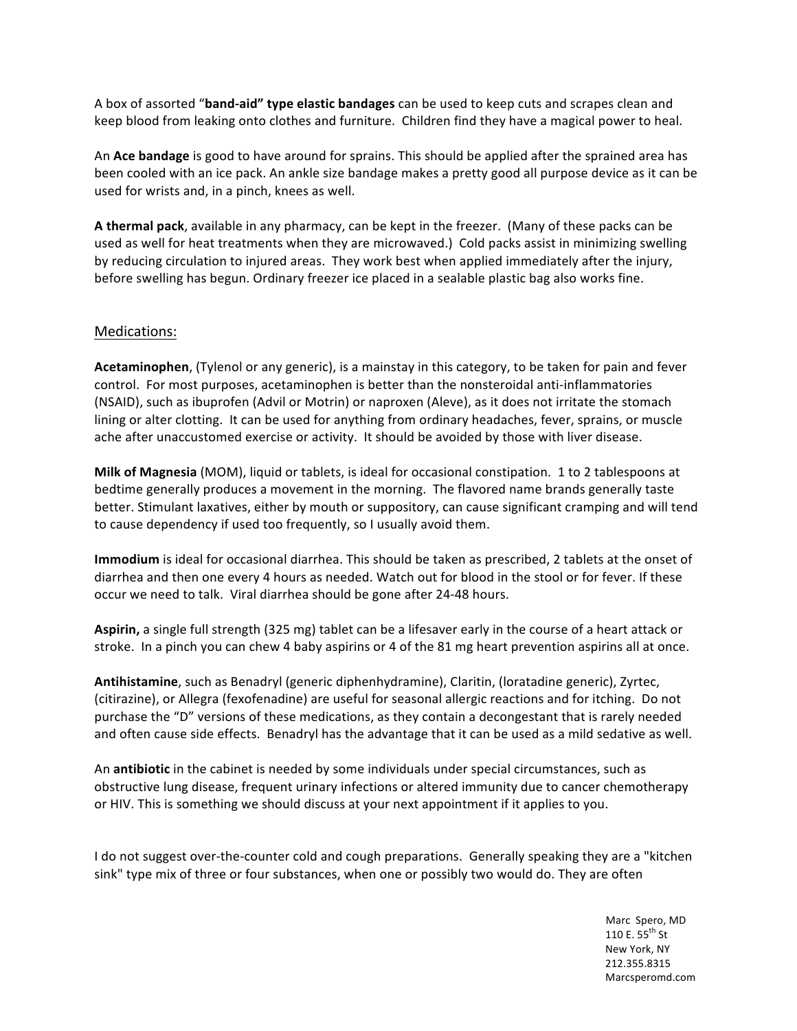A box of assorted "band-aid" type elastic bandages can be used to keep cuts and scrapes clean and keep blood from leaking onto clothes and furniture. Children find they have a magical power to heal.

An **Ace bandage** is good to have around for sprains. This should be applied after the sprained area has been cooled with an ice pack. An ankle size bandage makes a pretty good all purpose device as it can be used for wrists and, in a pinch, knees as well.

**A thermal pack**, available in any pharmacy, can be kept in the freezer. (Many of these packs can be used as well for heat treatments when they are microwaved.) Cold packs assist in minimizing swelling by reducing circulation to injured areas. They work best when applied immediately after the injury, before swelling has begun. Ordinary freezer ice placed in a sealable plastic bag also works fine.

## Medications:

**Acetaminophen**, (Tylenol or any generic), is a mainstay in this category, to be taken for pain and fever control. For most purposes, acetaminophen is better than the nonsteroidal anti-inflammatories (NSAID), such as ibuprofen (Advil or Motrin) or naproxen (Aleve), as it does not irritate the stomach lining or alter clotting. It can be used for anything from ordinary headaches, fever, sprains, or muscle ache after unaccustomed exercise or activity. It should be avoided by those with liver disease.

**Milk of Magnesia** (MOM), liquid or tablets, is ideal for occasional constipation. 1 to 2 tablespoons at bedtime generally produces a movement in the morning. The flavored name brands generally taste better. Stimulant laxatives, either by mouth or suppository, can cause significant cramping and will tend to cause dependency if used too frequently, so I usually avoid them.

**Immodium** is ideal for occasional diarrhea. This should be taken as prescribed, 2 tablets at the onset of diarrhea and then one every 4 hours as needed. Watch out for blood in the stool or for fever. If these occur we need to talk. Viral diarrhea should be gone after 24-48 hours.

Aspirin, a single full strength (325 mg) tablet can be a lifesaver early in the course of a heart attack or stroke. In a pinch you can chew 4 baby aspirins or 4 of the 81 mg heart prevention aspirins all at once.

**Antihistamine**, such as Benadryl (generic diphenhydramine), Claritin, (loratadine generic), Zyrtec, (citirazine), or Allegra (fexofenadine) are useful for seasonal allergic reactions and for itching. Do not purchase the "D" versions of these medications, as they contain a decongestant that is rarely needed and often cause side effects. Benadryl has the advantage that it can be used as a mild sedative as well.

An **antibiotic** in the cabinet is needed by some individuals under special circumstances, such as obstructive lung disease, frequent urinary infections or altered immunity due to cancer chemotherapy or HIV. This is something we should discuss at your next appointment if it applies to you.

I do not suggest over-the-counter cold and cough preparations. Generally speaking they are a "kitchen" sink" type mix of three or four substances, when one or possibly two would do. They are often

Marc Spero, MD 110 E. 55<sup>th</sup> St New York, NY !!!!!!!!!!!!!!!!!!!!!!!!!!!!!!!!!!!!!!!!!!!!!!!!!!!!!!!!!!!!!!!!!!!!!!!!!!!!!!!!!!!!!!!!!!!!!!!!!!!!!!!!!!!!!!!!!!!!!!!!!!!!!!!!!!!!!!!!!!!!!!!!!!!!!!!!!!!!!!!!!!!!!!!!!!!!!!!!!!!!!!!!!!!!!!!!!212.355.8315 Marcsperomd.com